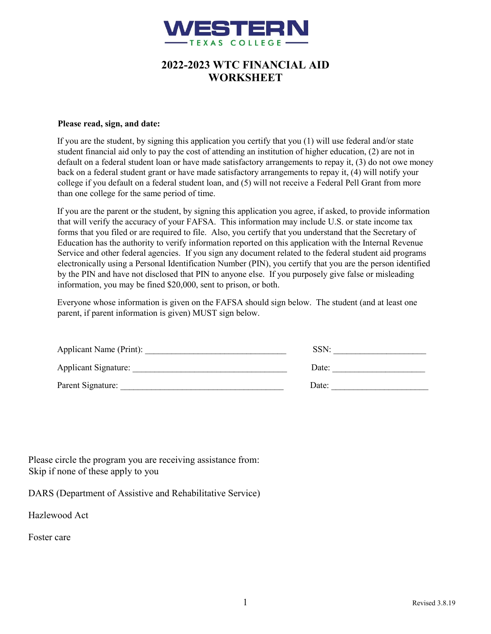

# **2022-2023 WTC FINANCIAL AID WORKSHEET**

#### **Please read, sign, and date:**

If you are the student, by signing this application you certify that you (1) will use federal and/or state student financial aid only to pay the cost of attending an institution of higher education, (2) are not in default on a federal student loan or have made satisfactory arrangements to repay it, (3) do not owe money back on a federal student grant or have made satisfactory arrangements to repay it, (4) will notify your college if you default on a federal student loan, and (5) will not receive a Federal Pell Grant from more than one college for the same period of time.

If you are the parent or the student, by signing this application you agree, if asked, to provide information that will verify the accuracy of your FAFSA. This information may include U.S. or state income tax forms that you filed or are required to file. Also, you certify that you understand that the Secretary of Education has the authority to verify information reported on this application with the Internal Revenue Service and other federal agencies. If you sign any document related to the federal student aid programs electronically using a Personal Identification Number (PIN), you certify that you are the person identified by the PIN and have not disclosed that PIN to anyone else. If you purposely give false or misleading information, you may be fined \$20,000, sent to prison, or both.

Everyone whose information is given on the FAFSA should sign below. The student (and at least one parent, if parent information is given) MUST sign below.

| Applicant Name (Print):     | SSN:  |
|-----------------------------|-------|
| <b>Applicant Signature:</b> | Date: |
| Parent Signature:           | Date: |

Please circle the program you are receiving assistance from: Skip if none of these apply to you

DARS (Department of Assistive and Rehabilitative Service)

Hazlewood Act

Foster care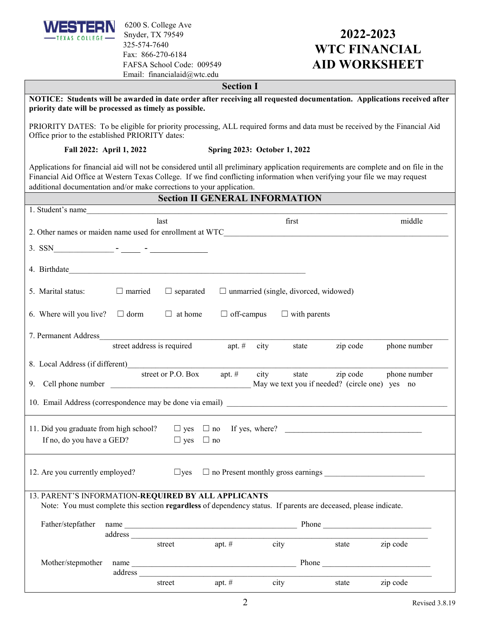

6200 S. College Ave Snyder, TX 79549 325-574-7640 Fax: 866-270-6184 FAFSA School Code: 009549 Email: financialaid@wtc.edu

# **2022-2023 WTC FINANCIAL AID WORKSHEET**

#### **Section I**

| NOTICE: Students will be awarded in date order after receiving all requested documentation. Applications received after<br>priority date will be processed as timely as possible.                                                                                                                                                          |                                                          |                            |                   |      |                                              |                                                            |                                                     |
|--------------------------------------------------------------------------------------------------------------------------------------------------------------------------------------------------------------------------------------------------------------------------------------------------------------------------------------------|----------------------------------------------------------|----------------------------|-------------------|------|----------------------------------------------|------------------------------------------------------------|-----------------------------------------------------|
| PRIORITY DATES: To be eligible for priority processing, ALL required forms and data must be received by the Financial Aid<br>Office prior to the established PRIORITY dates:                                                                                                                                                               |                                                          |                            |                   |      |                                              |                                                            |                                                     |
|                                                                                                                                                                                                                                                                                                                                            | Fall 2022: April 1, 2022<br>Spring 2023: October 1, 2022 |                            |                   |      |                                              |                                                            |                                                     |
| Applications for financial aid will not be considered until all preliminary application requirements are complete and on file in the<br>Financial Aid Office at Western Texas College. If we find conflicting information when verifying your file we may request<br>additional documentation and/or make corrections to your application. |                                                          |                            |                   |      |                                              |                                                            |                                                     |
| <b>Section II GENERAL INFORMATION</b>                                                                                                                                                                                                                                                                                                      |                                                          |                            |                   |      |                                              |                                                            |                                                     |
| 1. Student's name                                                                                                                                                                                                                                                                                                                          |                                                          |                            |                   |      |                                              |                                                            |                                                     |
|                                                                                                                                                                                                                                                                                                                                            |                                                          | last                       |                   |      | first                                        |                                                            | middle                                              |
| 2. Other names or maiden name used for enrollment at WTC                                                                                                                                                                                                                                                                                   |                                                          |                            |                   |      |                                              |                                                            |                                                     |
|                                                                                                                                                                                                                                                                                                                                            |                                                          |                            |                   |      |                                              |                                                            |                                                     |
|                                                                                                                                                                                                                                                                                                                                            |                                                          |                            |                   |      |                                              |                                                            |                                                     |
| 5. Marital status:                                                                                                                                                                                                                                                                                                                         | $\Box$ married                                           | $\Box$ separated           |                   |      | $\Box$ unmarried (single, divorced, widowed) |                                                            |                                                     |
| 6. Where will you live? $\Box$ dorm                                                                                                                                                                                                                                                                                                        |                                                          | $\Box$ at home             | $\Box$ off-campus |      | $\Box$ with parents                          |                                                            |                                                     |
| 7. Permanent Address                                                                                                                                                                                                                                                                                                                       |                                                          |                            |                   |      |                                              |                                                            |                                                     |
|                                                                                                                                                                                                                                                                                                                                            |                                                          | street address is required | apt. $#$          | city | state                                        | zip code                                                   | phone number                                        |
| 8. Local Address (if different)                                                                                                                                                                                                                                                                                                            |                                                          |                            |                   |      |                                              |                                                            |                                                     |
|                                                                                                                                                                                                                                                                                                                                            |                                                          | street or P.O. Box         | apt. $#$          | city | state                                        | zip code<br>May we text you if needed? (circle one) yes no | phone number                                        |
| 10. Email Address (correspondence may be done via email)                                                                                                                                                                                                                                                                                   |                                                          |                            |                   |      |                                              |                                                            |                                                     |
| 11. Did you graduate from high school?                                                                                                                                                                                                                                                                                                     |                                                          |                            |                   |      |                                              |                                                            |                                                     |
| If no, do you have a GED?                                                                                                                                                                                                                                                                                                                  |                                                          | $\Box$ yes $\Box$ no       |                   |      |                                              |                                                            |                                                     |
| 12. Are you currently employed?                                                                                                                                                                                                                                                                                                            |                                                          |                            |                   |      |                                              |                                                            | $\Box$ yes $\Box$ no Present monthly gross earnings |
| 13. PARENT'S INFORMATION-REQUIRED BY ALL APPLICANTS                                                                                                                                                                                                                                                                                        |                                                          |                            |                   |      |                                              |                                                            |                                                     |
| Note: You must complete this section regardless of dependency status. If parents are deceased, please indicate.                                                                                                                                                                                                                            |                                                          |                            |                   |      |                                              |                                                            |                                                     |
| Father/stepfather                                                                                                                                                                                                                                                                                                                          |                                                          |                            |                   |      |                                              |                                                            |                                                     |
|                                                                                                                                                                                                                                                                                                                                            |                                                          |                            |                   |      |                                              |                                                            |                                                     |
|                                                                                                                                                                                                                                                                                                                                            |                                                          | street                     | apt. $#$          |      | city                                         | state                                                      | zip code                                            |
| Mother/stepmother                                                                                                                                                                                                                                                                                                                          |                                                          |                            |                   |      |                                              |                                                            |                                                     |
|                                                                                                                                                                                                                                                                                                                                            | name                                                     |                            |                   |      |                                              |                                                            |                                                     |
|                                                                                                                                                                                                                                                                                                                                            |                                                          | street                     | apt. $#$          |      | city                                         | state                                                      | zip code                                            |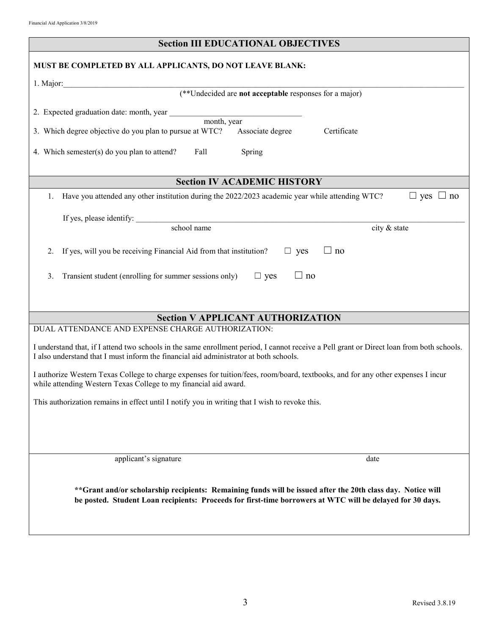| <b>Section III EDUCATIONAL OBJECTIVES</b>                                                                                                 |  |  |  |  |  |
|-------------------------------------------------------------------------------------------------------------------------------------------|--|--|--|--|--|
| MUST BE COMPLETED BY ALL APPLICANTS, DO NOT LEAVE BLANK:                                                                                  |  |  |  |  |  |
| 1. Major:                                                                                                                                 |  |  |  |  |  |
| (**Undecided are not acceptable responses for a major)                                                                                    |  |  |  |  |  |
|                                                                                                                                           |  |  |  |  |  |
| 2. Expected graduation date: month, year month, year month, year                                                                          |  |  |  |  |  |
| 3. Which degree objective do you plan to pursue at WTC?<br>Associate degree<br>Certificate                                                |  |  |  |  |  |
| 4. Which semester(s) do you plan to attend?<br>Fall<br>Spring                                                                             |  |  |  |  |  |
| <b>Section IV ACADEMIC HISTORY</b>                                                                                                        |  |  |  |  |  |
| Have you attended any other institution during the 2022/2023 academic year while attending WTC?<br>$\Box$ yes $\Box$ no<br>1.             |  |  |  |  |  |
|                                                                                                                                           |  |  |  |  |  |
| If yes, please identify:                                                                                                                  |  |  |  |  |  |
| school name<br>city & state                                                                                                               |  |  |  |  |  |
| If yes, will you be receiving Financial Aid from that institution?<br>$\Box$ yes<br>$\Box$ no<br>2.                                       |  |  |  |  |  |
| 3.<br>Transient student (enrolling for summer sessions only)<br>$\Box$ yes<br>$\Box$ no                                                   |  |  |  |  |  |
|                                                                                                                                           |  |  |  |  |  |
|                                                                                                                                           |  |  |  |  |  |
| <b>Section V APPLICANT AUTHORIZATION</b>                                                                                                  |  |  |  |  |  |
| DUAL ATTENDANCE AND EXPENSE CHARGE AUTHORIZATION:                                                                                         |  |  |  |  |  |
| I understand that, if I attend two schools in the same enrollment period, I cannot receive a Pell grant or Direct loan from both schools. |  |  |  |  |  |
| I also understand that I must inform the financial aid administrator at both schools.                                                     |  |  |  |  |  |
| I authorize Western Texas College to charge expenses for tuition/fees, room/board, textbooks, and for any other expenses I incur          |  |  |  |  |  |
| while attending Western Texas College to my financial aid award.                                                                          |  |  |  |  |  |
| This authorization remains in effect until I notify you in writing that I wish to revoke this.                                            |  |  |  |  |  |
|                                                                                                                                           |  |  |  |  |  |
|                                                                                                                                           |  |  |  |  |  |
|                                                                                                                                           |  |  |  |  |  |
| applicant's signature<br>date                                                                                                             |  |  |  |  |  |
|                                                                                                                                           |  |  |  |  |  |
| **Grant and/or scholarship recipients: Remaining funds will be issued after the 20th class day. Notice will                               |  |  |  |  |  |
| be posted. Student Loan recipients: Proceeds for first-time borrowers at WTC will be delayed for 30 days.                                 |  |  |  |  |  |
|                                                                                                                                           |  |  |  |  |  |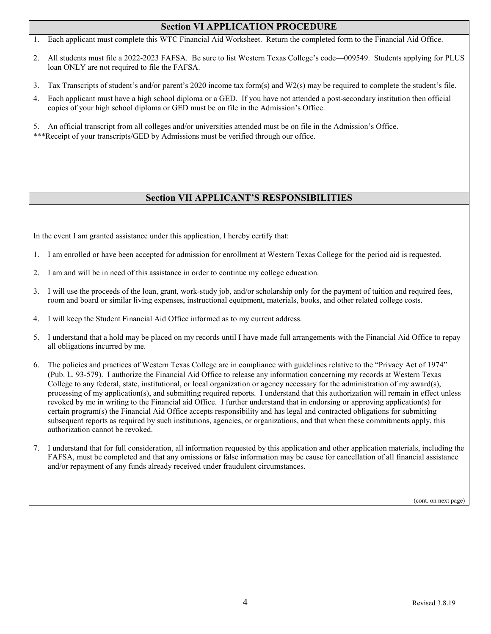### **Section VI APPLICATION PROCEDURE**

- 1. Each applicant must complete this WTC Financial Aid Worksheet. Return the completed form to the Financial Aid Office.
- 2. All students must file a 2022-2023 FAFSA. Be sure to list Western Texas College's code—009549. Students applying for PLUS loan ONLY are not required to file the FAFSA.
- 3. Tax Transcripts of student's and/or parent's 2020 income tax form(s) and W2(s) may be required to complete the student's file.
- 4. Each applicant must have a high school diploma or a GED. If you have not attended a post-secondary institution then official copies of your high school diploma or GED must be on file in the Admission's Office.
- 5. An official transcript from all colleges and/or universities attended must be on file in the Admission's Office.
- \*\*\*Receipt of your transcripts/GED by Admissions must be verified through our office.

# **Section VII APPLICANT'S RESPONSIBILITIES**

In the event I am granted assistance under this application, I hereby certify that:

- 1. I am enrolled or have been accepted for admission for enrollment at Western Texas College for the period aid is requested.
- 2. I am and will be in need of this assistance in order to continue my college education.
- 3. I will use the proceeds of the loan, grant, work-study job, and/or scholarship only for the payment of tuition and required fees, room and board or similar living expenses, instructional equipment, materials, books, and other related college costs.
- 4. I will keep the Student Financial Aid Office informed as to my current address.
- 5. I understand that a hold may be placed on my records until I have made full arrangements with the Financial Aid Office to repay all obligations incurred by me.
- 6. The policies and practices of Western Texas College are in compliance with guidelines relative to the "Privacy Act of 1974" (Pub. L. 93-579). I authorize the Financial Aid Office to release any information concerning my records at Western Texas College to any federal, state, institutional, or local organization or agency necessary for the administration of my award(s), processing of my application(s), and submitting required reports. I understand that this authorization will remain in effect unless revoked by me in writing to the Financial aid Office. I further understand that in endorsing or approving application(s) for certain program(s) the Financial Aid Office accepts responsibility and has legal and contracted obligations for submitting subsequent reports as required by such institutions, agencies, or organizations, and that when these commitments apply, this authorization cannot be revoked.
- 7. I understand that for full consideration, all information requested by this application and other application materials, including the FAFSA, must be completed and that any omissions or false information may be cause for cancellation of all financial assistance and/or repayment of any funds already received under fraudulent circumstances.

(cont. on next page)